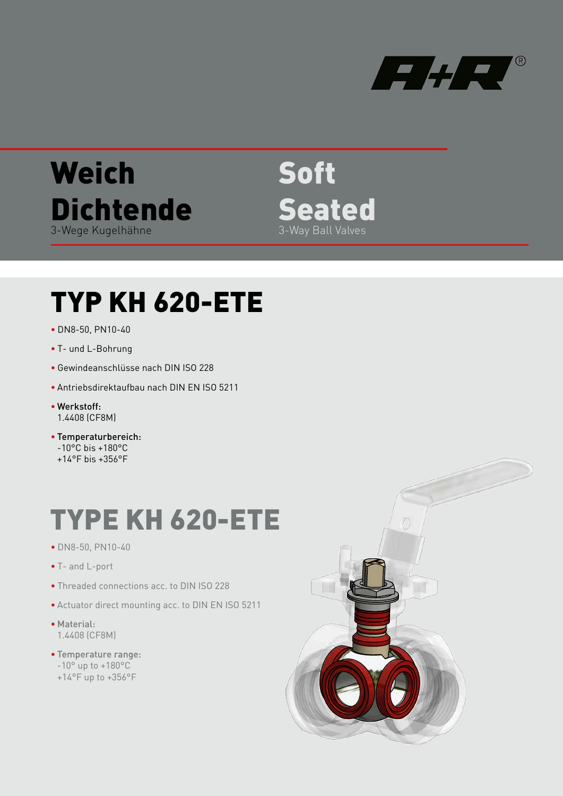

## Weich **Dichtende** 3-Wege Kugelhähne

Soft **Seated** 3-Way Ball Valves

## TYP KH 620-ETE

- DN8-50, PN10-40
- T- und L-Bohrung
- Gewindeanschlüsse nach DIN ISO 228
- Antriebsdirektaufbau nach DIN EN ISO 5211
- Werkstoff: 1.4408 (CF8M)
- Temperaturbereich: -10°C bis +180°C +14°F bis +356°F

## TYPE KH 620-ETE

- DN8-50, PN10-40
- T- and L-port
- Threaded connections acc. to DIN ISO 228
- Actuator direct mounting acc. to DIN EN ISO 5211
- Material: 1.4408 (CF8M)
- Temperature range:
	- $-10^{\circ}$  up to  $+180^{\circ}$ C
	- +14°F up to +356°F

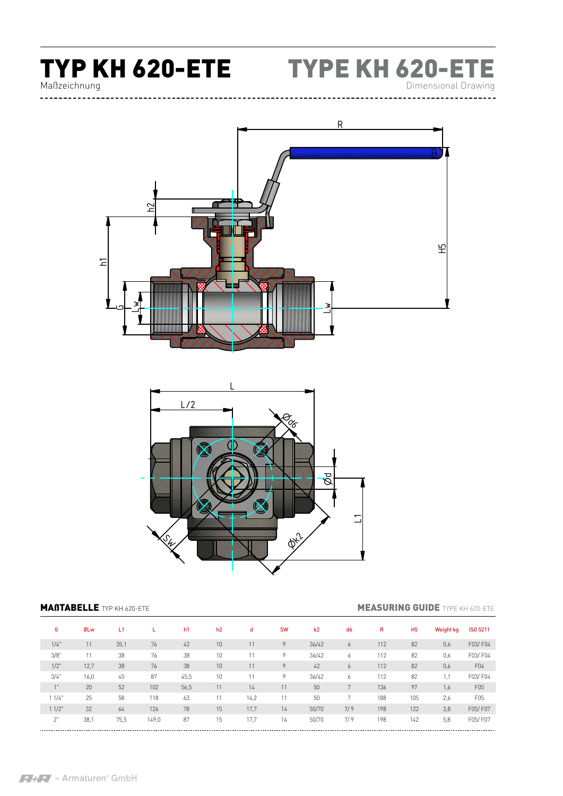

Maßzeichnung





**MAßTABELLE** TYP KH 620-ETE **MEASURING GUIDE** TYPE KH 620-ETE

| G        | ØLw  | L1   |       | h <sub>1</sub> | h2 | d    | <b>SW</b> | k2    | d <sub>6</sub> | R   | H <sub>5</sub> | <b>Weight kg</b> | <b>ISO 5211</b> |
|----------|------|------|-------|----------------|----|------|-----------|-------|----------------|-----|----------------|------------------|-----------------|
| 1/4"     | 11   | 35,1 | 76    | 42             | 10 | 11   | 9         | 36/42 | 6              | 112 | 82             | 0,6              | F03/F04         |
| 3/8"     | 11   | 38   | 76    | 38             | 10 | 11   | 9         | 36/42 | 6              | 112 | 82             | 0,6              | F03/F04         |
| $1/2$ "  | 12,7 | 38   | 76    | 38             | 10 | 11   | 9         | 42    | 6              | 112 | 82             | 0,6              | F <sub>04</sub> |
| 3/4"     | 16,0 | 45   | 87    | 45,5           | 10 | 11   | 9         | 36/42 | O              | 112 | 82             | 1,1              | F03/F04         |
| 1"       | 20   | 52   | 102   | 56,5           | 11 | 14   | 11        | 50    | 7              | 136 | 97             | 1,6              | F05             |
| 11/4"    | 25   | 58   | 118   | 63             | 11 | 14,2 | 11        | 50    | $\mathbf{r}$   | 188 | 105            | 2,6              | F05             |
| $11/2$ " | 32   | 64   | 126   | 78             | 15 | 17,7 | 14        | 50/70 | 7/9            | 198 | 122            | 3,8              | F05/F07         |
| 2"       | 38,1 | 75,5 | 149,0 | 87             | 15 | 17,7 | 14        | 50/70 | 7/9            | 198 | 142            | 5,8              | F05/F07         |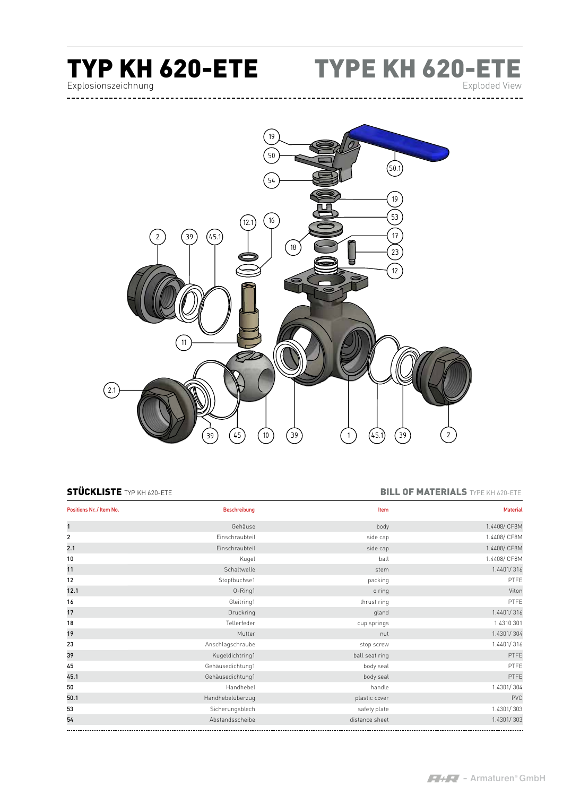# Explosionszeichnung

TYP KH 620-ETE TYPE KH 620-ETE Exploded View

 $53$ 45) (10) (39) (1) (45.1) (39) (2  $\overline{\phantom{0}}$  $\boxed{2.1}$  $\widehat{12.1}$  (16  $(39)$   $(45.1)$ 12  $23$  $\widehat{17}$  $\binom{18}{ }$ 19  $54$  $\overline{50}$  $(50.1)$  $(11)$ 39  $19$ 

### STÜCKLISTE TYP KH 620-ETE **BILL OF MATERIALS** TYPE KH 620-ETE

| Positions Nr. / Item No. | <b>Beschreibung</b> | Item           | <b>Material</b> |
|--------------------------|---------------------|----------------|-----------------|
| $\mathbf{1}$             | Gehäuse             | body           | 1.4408/ CF8M    |
| $\overline{2}$           | Einschraubteil      | side cap       | 1.4408/ CF8M    |
| 2.1                      | Einschraubteil      | side cap       | 1.4408/ CF8M    |
| 10                       | Kugel               | ball           | 1.4408/ CF8M    |
| 11                       | Schaltwelle         | stem           | 1.4401/316      |
| 12                       | Stopfbuchse1        | packing        | PTFE            |
| 12.1                     | 0-Ring1             | o ring         | Viton           |
| 16                       | Gleitring1          | thrust ring    | PTFE            |
| 17                       | Druckring           | gland          | 1.4401/316      |
| 18                       | Tellerfeder         | cup springs    | 1.4310 301      |
| 19                       | Mutter              | nut            | 1.4301/304      |
| 23                       | Anschlagschraube    | stop screw     | 1.4401/316      |
| 39                       | Kugeldichtring1     | ball seat ring | PTFE            |
| 45                       | Gehäusedichtung1    | body seal      | PTFE            |
| 45.1                     | Gehäusedichtung1    | body seal      | PTFE            |
| 50                       | Handhebel           | handle         | 1.4301/304      |
| 50.1                     | Handhebelüberzug    | plastic cover  | PVC             |
| 53                       | Sicherungsblech     | safety plate   | 1.4301/303      |
| 54                       | Abstandsscheibe     | distance sheet | 1.4301/303      |